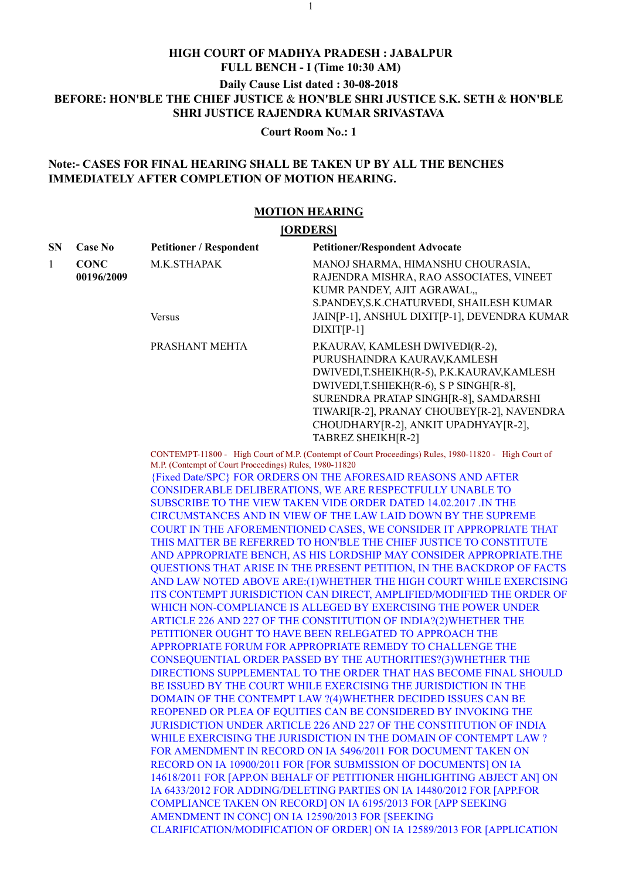## HIGH COURT OF MADHYA PRADESH : JABALPUR FULL BENCH - I (Time 10:30 AM) Daily Cause List dated : 30-08-2018 BEFORE: HON'BLE THE CHIEF JUSTICE & HON'BLE SHRI JUSTICE S.K. SETH & HON'BLE SHRI JUSTICE RAJENDRA KUMAR SRIVASTAVA

## Note:- CASES FOR FINAL HEARING SHALL BE TAKEN UP BY ALL THE BENCHES IMMEDIATELY AFTER COMPLETION OF MOTION HEARING.

## MOTION HEARING

|                       |                           |                                                        | <b>HIGH COURT OF MADHYA PRADESH: JABALPUR</b><br>FULL BENCH - I (Time 10:30 AM)                                                                                                                                                                                                                                                                                                                                                                                                                                                                                                                                                                                                                                                                                                                                                                                                                                                                                                                                                                                                                                                                                                                                                                                                                                                                                                                                                                                                                                                                                                                                                                                                                                                                                                                                                                                                                                                                                                                                                                                 |  |
|-----------------------|---------------------------|--------------------------------------------------------|-----------------------------------------------------------------------------------------------------------------------------------------------------------------------------------------------------------------------------------------------------------------------------------------------------------------------------------------------------------------------------------------------------------------------------------------------------------------------------------------------------------------------------------------------------------------------------------------------------------------------------------------------------------------------------------------------------------------------------------------------------------------------------------------------------------------------------------------------------------------------------------------------------------------------------------------------------------------------------------------------------------------------------------------------------------------------------------------------------------------------------------------------------------------------------------------------------------------------------------------------------------------------------------------------------------------------------------------------------------------------------------------------------------------------------------------------------------------------------------------------------------------------------------------------------------------------------------------------------------------------------------------------------------------------------------------------------------------------------------------------------------------------------------------------------------------------------------------------------------------------------------------------------------------------------------------------------------------------------------------------------------------------------------------------------------------|--|
|                       |                           |                                                        | Daily Cause List dated: 30-08-2018<br>BEFORE: HON'BLE THE CHIEF JUSTICE & HON'BLE SHRI JUSTICE S.K. SETH & HON'BLE<br><b>SHRI JUSTICE RAJENDRA KUMAR SRIVASTAVA</b>                                                                                                                                                                                                                                                                                                                                                                                                                                                                                                                                                                                                                                                                                                                                                                                                                                                                                                                                                                                                                                                                                                                                                                                                                                                                                                                                                                                                                                                                                                                                                                                                                                                                                                                                                                                                                                                                                             |  |
|                       |                           |                                                        | <b>Court Room No.: 1</b>                                                                                                                                                                                                                                                                                                                                                                                                                                                                                                                                                                                                                                                                                                                                                                                                                                                                                                                                                                                                                                                                                                                                                                                                                                                                                                                                                                                                                                                                                                                                                                                                                                                                                                                                                                                                                                                                                                                                                                                                                                        |  |
|                       |                           | <b>IMMEDIATELY AFTER COMPLETION OF MOTION HEARING.</b> | Note:- CASES FOR FINAL HEARING SHALL BE TAKEN UP BY ALL THE BENCHES                                                                                                                                                                                                                                                                                                                                                                                                                                                                                                                                                                                                                                                                                                                                                                                                                                                                                                                                                                                                                                                                                                                                                                                                                                                                                                                                                                                                                                                                                                                                                                                                                                                                                                                                                                                                                                                                                                                                                                                             |  |
| <b>MOTION HEARING</b> |                           |                                                        |                                                                                                                                                                                                                                                                                                                                                                                                                                                                                                                                                                                                                                                                                                                                                                                                                                                                                                                                                                                                                                                                                                                                                                                                                                                                                                                                                                                                                                                                                                                                                                                                                                                                                                                                                                                                                                                                                                                                                                                                                                                                 |  |
|                       |                           | [ORDERS]                                               |                                                                                                                                                                                                                                                                                                                                                                                                                                                                                                                                                                                                                                                                                                                                                                                                                                                                                                                                                                                                                                                                                                                                                                                                                                                                                                                                                                                                                                                                                                                                                                                                                                                                                                                                                                                                                                                                                                                                                                                                                                                                 |  |
| ${\bf SN}$            | <b>Case No</b>            | <b>Petitioner / Respondent</b>                         | <b>Petitioner/Respondent Advocate</b>                                                                                                                                                                                                                                                                                                                                                                                                                                                                                                                                                                                                                                                                                                                                                                                                                                                                                                                                                                                                                                                                                                                                                                                                                                                                                                                                                                                                                                                                                                                                                                                                                                                                                                                                                                                                                                                                                                                                                                                                                           |  |
| $\mathbf{1}$          | <b>CONC</b><br>00196/2009 | M.K.STHAPAK                                            | MANOJ SHARMA, HIMANSHU CHOURASIA,<br>RAJENDRA MISHRA, RAO ASSOCIATES, VINEET<br>KUMR PANDEY, AJIT AGRAWAL,,<br>S.PANDEY, S.K.CHATURVEDI, SHAILESH KUMAR                                                                                                                                                                                                                                                                                                                                                                                                                                                                                                                                                                                                                                                                                                                                                                                                                                                                                                                                                                                                                                                                                                                                                                                                                                                                                                                                                                                                                                                                                                                                                                                                                                                                                                                                                                                                                                                                                                         |  |
|                       |                           | <b>Versus</b>                                          | JAIN[P-1], ANSHUL DIXIT[P-1], DEVENDRA KUMAR<br>$DIXIT[P-1]$                                                                                                                                                                                                                                                                                                                                                                                                                                                                                                                                                                                                                                                                                                                                                                                                                                                                                                                                                                                                                                                                                                                                                                                                                                                                                                                                                                                                                                                                                                                                                                                                                                                                                                                                                                                                                                                                                                                                                                                                    |  |
|                       |                           | PRASHANT MEHTA                                         | P.KAURAV, KAMLESH DWIVEDI(R-2),<br>PURUSHAINDRA KAURAV, KAMLESH<br>DWIVEDI,T.SHEIKH(R-5), P.K.KAURAV,KAMLESH<br>DWIVEDI,T.SHIEKH(R-6), S P SINGH[R-8],<br>SURENDRA PRATAP SINGH[R-8], SAMDARSHI<br>TIWARI[R-2], PRANAY CHOUBEY[R-2], NAVENDRA<br>CHOUDHARY[R-2], ANKIT UPADHYAY[R-2],<br>TABREZ SHEIKH[R-2]                                                                                                                                                                                                                                                                                                                                                                                                                                                                                                                                                                                                                                                                                                                                                                                                                                                                                                                                                                                                                                                                                                                                                                                                                                                                                                                                                                                                                                                                                                                                                                                                                                                                                                                                                     |  |
|                       |                           | M.P. (Contempt of Court Proceedings) Rules, 1980-11820 | CONTEMPT-11800 - High Court of M.P. (Contempt of Court Proceedings) Rules, 1980-11820 - High Court of<br>{Fixed Date/SPC} FOR ORDERS ON THE AFORESAID REASONS AND AFTER<br>CONSIDERABLE DELIBERATIONS, WE ARE RESPECTFULLY UNABLE TO<br>SUBSCRIBE TO THE VIEW TAKEN VIDE ORDER DATED 14.02.2017 .IN THE<br>CIRCUMSTANCES AND IN VIEW OF THE LAW LAID DOWN BY THE SUPREME<br>COURT IN THE AFOREMENTIONED CASES, WE CONSIDER IT APPROPRIATE THAT<br>THIS MATTER BE REFERRED TO HON'BLE THE CHIEF JUSTICE TO CONSTITUTE<br>AND APPROPRIATE BENCH, AS HIS LORDSHIP MAY CONSIDER APPROPRIATE.THE<br>QUESTIONS THAT ARISE IN THE PRESENT PETITION, IN THE BACKDROP OF FACTS<br>AND LAW NOTED ABOVE ARE:(1) WHETHER THE HIGH COURT WHILE EXERCISING<br>ITS CONTEMPT JURISDICTION CAN DIRECT, AMPLIFIED/MODIFIED THE ORDER OF<br>WHICH NON-COMPLIANCE IS ALLEGED BY EXERCISING THE POWER UNDER<br>ARTICLE 226 AND 227 OF THE CONSTITUTION OF INDIA?(2) WHETHER THE<br>PETITIONER OUGHT TO HAVE BEEN RELEGATED TO APPROACH THE<br>APPROPRIATE FORUM FOR APPROPRIATE REMEDY TO CHALLENGE THE<br>CONSEQUENTIAL ORDER PASSED BY THE AUTHORITIES?(3) WHETHER THE<br>DIRECTIONS SUPPLEMENTAL TO THE ORDER THAT HAS BECOME FINAL SHOULD<br>BE ISSUED BY THE COURT WHILE EXERCISING THE JURISDICTION IN THE<br>DOMAIN OF THE CONTEMPT LAW ?(4) WHETHER DECIDED ISSUES CAN BE<br>REOPENED OR PLEA OF EQUITIES CAN BE CONSIDERED BY INVOKING THE<br>JURISDICTION UNDER ARTICLE 226 AND 227 OF THE CONSTITUTION OF INDIA<br>WHILE EXERCISING THE JURISDICTION IN THE DOMAIN OF CONTEMPT LAW?<br>FOR AMENDMENT IN RECORD ON IA 5496/2011 FOR DOCUMENT TAKEN ON<br>RECORD ON IA 10900/2011 FOR [FOR SUBMISSION OF DOCUMENTS] ON IA<br>14618/2011 FOR [APP.ON BEHALF OF PETITIONER HIGHLIGHTING ABJECT AN] ON<br>IA 6433/2012 FOR ADDING/DELETING PARTIES ON IA 14480/2012 FOR [APP.FOR<br>COMPLIANCE TAKEN ON RECORD] ON IA 6195/2013 FOR [APP SEEKING<br>AMENDMENT IN CONC] ON IA 12590/2013 FOR [SEEKING<br>CLARIFICATION/MODIFICATION OF ORDER] ON IA 12589/2013 FOR [APPLICATION |  |